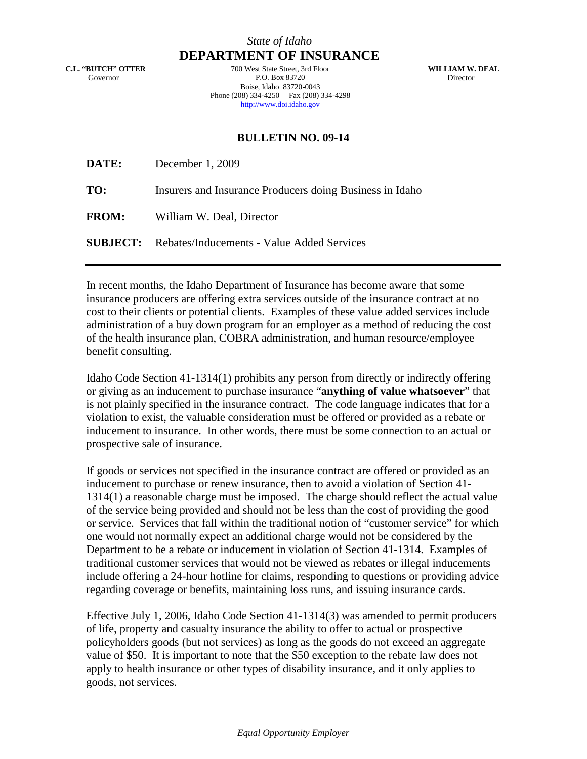## *State of Idaho* **DEPARTMENT OF INSURANCE**

**C.L. "BUTCH" OTTER** Governor

700 West State Street, 3rd Floor P.O. Box 83720 Boise, Idaho 83720-0043 Phone (208) 334-4250 Fax (208) 334-4298 http://www.doi.idaho.gov

**WILLIAM W. DEAL** Director

## **BULLETIN NO. 09-14**

| DATE:        | December 1, 2009                                           |
|--------------|------------------------------------------------------------|
| TO:          | Insurers and Insurance Producers doing Business in Idaho   |
| <b>FROM:</b> | William W. Deal, Director                                  |
|              | <b>SUBJECT:</b> Rebates/Inducements - Value Added Services |

In recent months, the Idaho Department of Insurance has become aware that some insurance producers are offering extra services outside of the insurance contract at no cost to their clients or potential clients. Examples of these value added services include administration of a buy down program for an employer as a method of reducing the cost of the health insurance plan, COBRA administration, and human resource/employee benefit consulting.

Idaho Code Section 41-1314(1) prohibits any person from directly or indirectly offering or giving as an inducement to purchase insurance "**anything of value whatsoever**" that is not plainly specified in the insurance contract. The code language indicates that for a violation to exist, the valuable consideration must be offered or provided as a rebate or inducement to insurance. In other words, there must be some connection to an actual or prospective sale of insurance.

If goods or services not specified in the insurance contract are offered or provided as an inducement to purchase or renew insurance, then to avoid a violation of Section 41- 1314(1) a reasonable charge must be imposed. The charge should reflect the actual value of the service being provided and should not be less than the cost of providing the good or service. Services that fall within the traditional notion of "customer service" for which one would not normally expect an additional charge would not be considered by the Department to be a rebate or inducement in violation of Section 41-1314. Examples of traditional customer services that would not be viewed as rebates or illegal inducements include offering a 24-hour hotline for claims, responding to questions or providing advice regarding coverage or benefits, maintaining loss runs, and issuing insurance cards.

Effective July 1, 2006, Idaho Code Section 41-1314(3) was amended to permit producers of life, property and casualty insurance the ability to offer to actual or prospective policyholders goods (but not services) as long as the goods do not exceed an aggregate value of \$50. It is important to note that the \$50 exception to the rebate law does not apply to health insurance or other types of disability insurance, and it only applies to goods, not services.